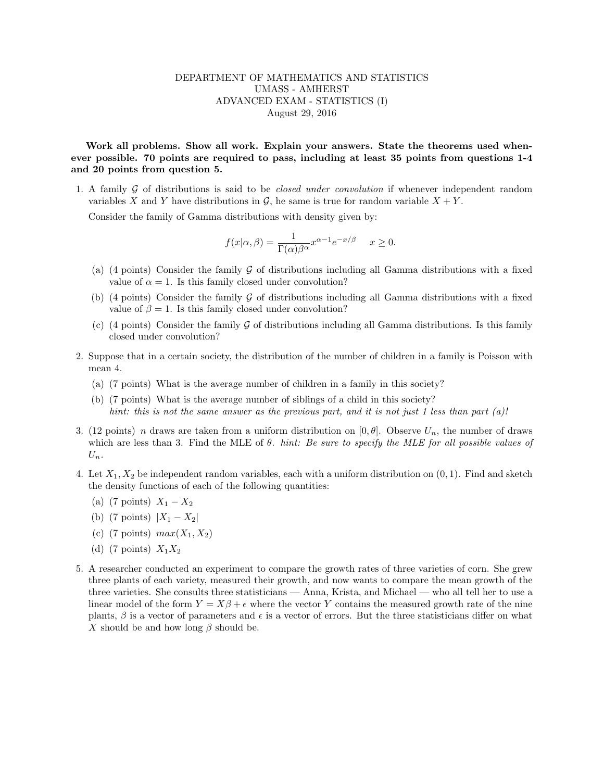## DEPARTMENT OF MATHEMATICS AND STATISTICS UMASS - AMHERST ADVANCED EXAM - STATISTICS (I) August 29, 2016

Work all problems. Show all work. Explain your answers. State the theorems used whenever possible. 70 points are required to pass, including at least 35 points from questions 1-4 and 20 points from question 5.

1. A family  $\mathcal G$  of distributions is said to be *closed under convolution* if whenever independent random variables X and Y have distributions in  $\mathcal{G}$ , he same is true for random variable  $X + Y$ .

Consider the family of Gamma distributions with density given by:

$$
f(x|\alpha, \beta) = \frac{1}{\Gamma(\alpha)\beta^{\alpha}} x^{\alpha - 1} e^{-x/\beta} \quad x \ge 0.
$$

- (a) (4 points) Consider the family  $\mathcal G$  of distributions including all Gamma distributions with a fixed value of  $\alpha = 1$ . Is this family closed under convolution?
- (b) (4 points) Consider the family  $\mathcal G$  of distributions including all Gamma distributions with a fixed value of  $\beta = 1$ . Is this family closed under convolution?
- (c) (4 points) Consider the family  $\mathcal G$  of distributions including all Gamma distributions. Is this family closed under convolution?
- 2. Suppose that in a certain society, the distribution of the number of children in a family is Poisson with mean 4.
	- (a) (7 points) What is the average number of children in a family in this society?
	- (b) (7 points) What is the average number of siblings of a child in this society? hint: this is not the same answer as the previous part, and it is not just 1 less than part (a)!
- 3. (12 points) n draws are taken from a uniform distribution on  $[0, \theta]$ . Observe  $U_n$ , the number of draws which are less than 3. Find the MLE of  $\theta$ . hint: Be sure to specify the MLE for all possible values of  $U_n$ .
- 4. Let  $X_1, X_2$  be independent random variables, each with a uniform distribution on  $(0, 1)$ . Find and sketch the density functions of each of the following quantities:
	- (a) (7 points)  $X_1 X_2$
	- (b) (7 points)  $|X_1 X_2|$
	- (c) (7 points)  $max(X_1, X_2)$
	- (d) (7 points)  $X_1X_2$
- 5. A researcher conducted an experiment to compare the growth rates of three varieties of corn. She grew three plants of each variety, measured their growth, and now wants to compare the mean growth of the three varieties. She consults three statisticians — Anna, Krista, and Michael — who all tell her to use a linear model of the form  $Y = X\beta + \epsilon$  where the vector Y contains the measured growth rate of the nine plants,  $\beta$  is a vector of parameters and  $\epsilon$  is a vector of errors. But the three statisticians differ on what X should be and how long  $\beta$  should be.